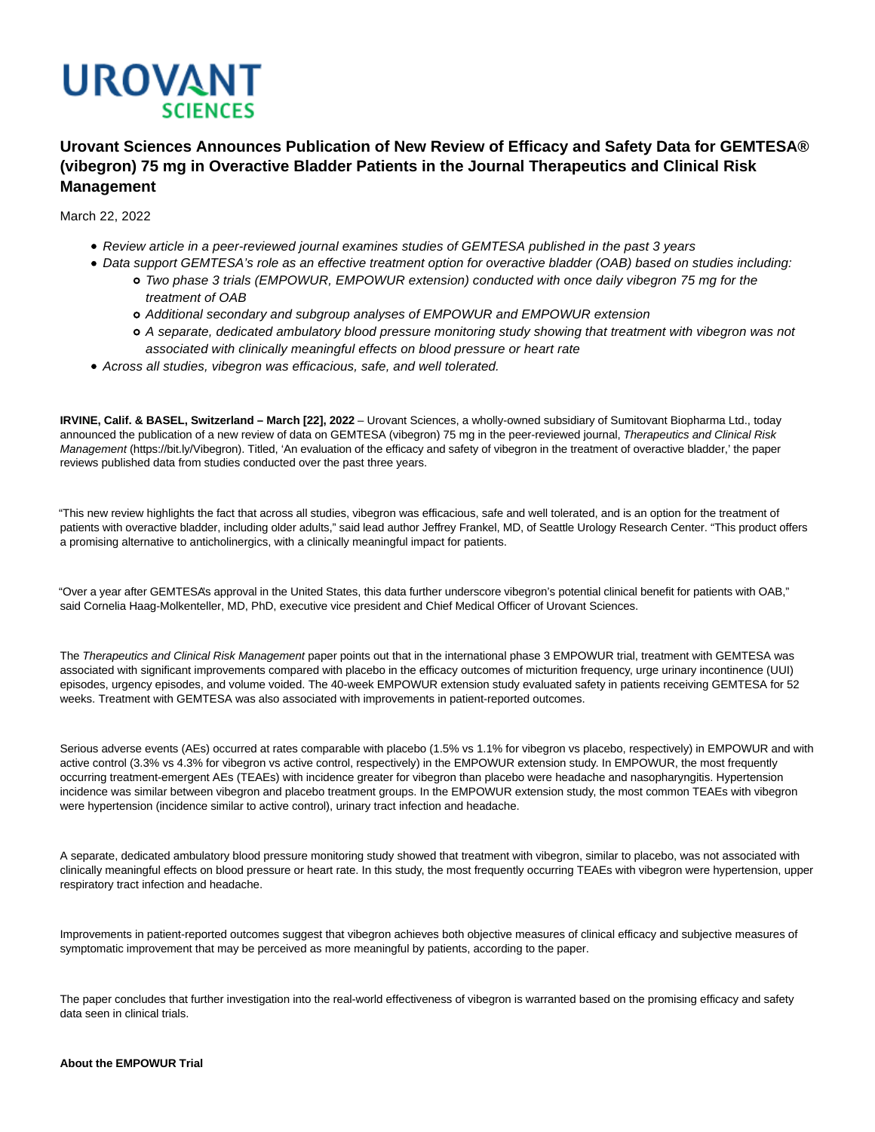

# **Urovant Sciences Announces Publication of New Review of Efficacy and Safety Data for GEMTESA® (vibegron) 75 mg in Overactive Bladder Patients in the Journal Therapeutics and Clinical Risk Management**

March 22, 2022

- Review article in a peer-reviewed journal examines studies of GEMTESA published in the past 3 years
- Data support GEMTESA's role as an effective treatment option for overactive bladder (OAB) based on studies including: Two phase 3 trials (EMPOWUR, EMPOWUR extension) conducted with once daily vibegron 75 mg for the
	- treatment of OAB
	- Additional secondary and subgroup analyses of EMPOWUR and EMPOWUR extension
	- A separate, dedicated ambulatory blood pressure monitoring study showing that treatment with vibegron was not associated with clinically meaningful effects on blood pressure or heart rate
- Across all studies, vibegron was efficacious, safe, and well tolerated.

**IRVINE, Calif. & BASEL, Switzerland – March [22], 2022** – Urovant Sciences, a wholly-owned subsidiary of Sumitovant Biopharma Ltd., today announced the publication of a new review of data on GEMTESA (vibegron) 75 mg in the peer-reviewed journal, Therapeutics and Clinical Risk Management (https://bit.ly/Vibegron). Titled, 'An evaluation of the efficacy and safety of vibegron in the treatment of overactive bladder,' the paper reviews published data from studies conducted over the past three years.

"This new review highlights the fact that across all studies, vibegron was efficacious, safe and well tolerated, and is an option for the treatment of patients with overactive bladder, including older adults," said lead author Jeffrey Frankel, MD, of Seattle Urology Research Center. "This product offers a promising alternative to anticholinergics, with a clinically meaningful impact for patients.

"Over a year after GEMTESA's approval in the United States, this data further underscore vibegron's potential clinical benefit for patients with OAB," said Cornelia Haag-Molkenteller, MD, PhD, executive vice president and Chief Medical Officer of Urovant Sciences.

The Therapeutics and Clinical Risk Management paper points out that in the international phase 3 EMPOWUR trial, treatment with GEMTESA was associated with significant improvements compared with placebo in the efficacy outcomes of micturition frequency, urge urinary incontinence (UUI) episodes, urgency episodes, and volume voided. The 40-week EMPOWUR extension study evaluated safety in patients receiving GEMTESA for 52 weeks. Treatment with GEMTESA was also associated with improvements in patient-reported outcomes.

Serious adverse events (AEs) occurred at rates comparable with placebo (1.5% vs 1.1% for vibegron vs placebo, respectively) in EMPOWUR and with active control (3.3% vs 4.3% for vibegron vs active control, respectively) in the EMPOWUR extension study. In EMPOWUR, the most frequently occurring treatment-emergent AEs (TEAEs) with incidence greater for vibegron than placebo were headache and nasopharyngitis. Hypertension incidence was similar between vibegron and placebo treatment groups. In the EMPOWUR extension study, the most common TEAEs with vibegron were hypertension (incidence similar to active control), urinary tract infection and headache.

A separate, dedicated ambulatory blood pressure monitoring study showed that treatment with vibegron, similar to placebo, was not associated with clinically meaningful effects on blood pressure or heart rate. In this study, the most frequently occurring TEAEs with vibegron were hypertension, upper respiratory tract infection and headache.

Improvements in patient-reported outcomes suggest that vibegron achieves both objective measures of clinical efficacy and subjective measures of symptomatic improvement that may be perceived as more meaningful by patients, according to the paper.

The paper concludes that further investigation into the real-world effectiveness of vibegron is warranted based on the promising efficacy and safety data seen in clinical trials.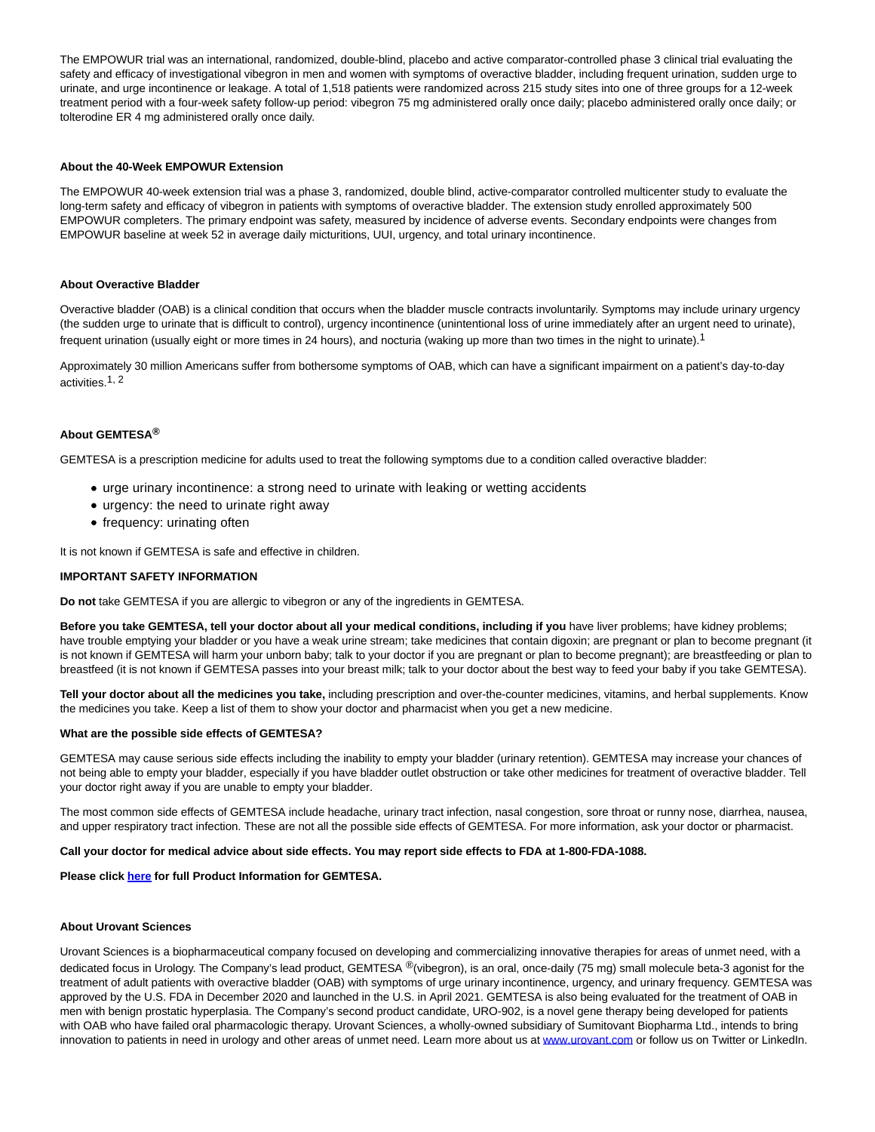The EMPOWUR trial was an international, randomized, double-blind, placebo and active comparator-controlled phase 3 clinical trial evaluating the safety and efficacy of investigational vibegron in men and women with symptoms of overactive bladder, including frequent urination, sudden urge to urinate, and urge incontinence or leakage. A total of 1,518 patients were randomized across 215 study sites into one of three groups for a 12-week treatment period with a four-week safety follow-up period: vibegron 75 mg administered orally once daily; placebo administered orally once daily; or tolterodine ER 4 mg administered orally once daily.

## **About the 40-Week EMPOWUR Extension**

The EMPOWUR 40-week extension trial was a phase 3, randomized, double blind, active-comparator controlled multicenter study to evaluate the long-term safety and efficacy of vibegron in patients with symptoms of overactive bladder. The extension study enrolled approximately 500 EMPOWUR completers. The primary endpoint was safety, measured by incidence of adverse events. Secondary endpoints were changes from EMPOWUR baseline at week 52 in average daily micturitions, UUI, urgency, and total urinary incontinence.

## **About Overactive Bladder**

Overactive bladder (OAB) is a clinical condition that occurs when the bladder muscle contracts involuntarily. Symptoms may include urinary urgency (the sudden urge to urinate that is difficult to control), urgency incontinence (unintentional loss of urine immediately after an urgent need to urinate), frequent urination (usually eight or more times in 24 hours), and nocturia (waking up more than two times in the night to urinate).<sup>1</sup>

Approximately 30 million Americans suffer from bothersome symptoms of OAB, which can have a significant impairment on a patient's day-to-day activities.1, 2

## **About GEMTESA®**

GEMTESA is a prescription medicine for adults used to treat the following symptoms due to a condition called overactive bladder:

- urge urinary incontinence: a strong need to urinate with leaking or wetting accidents
- urgency: the need to urinate right away
- frequency: urinating often

It is not known if GEMTESA is safe and effective in children.

## **IMPORTANT SAFETY INFORMATION**

**Do not** take GEMTESA if you are allergic to vibegron or any of the ingredients in GEMTESA.

**Before you take GEMTESA, tell your doctor about all your medical conditions, including if you** have liver problems; have kidney problems; have trouble emptying your bladder or you have a weak urine stream; take medicines that contain digoxin; are pregnant or plan to become pregnant (it is not known if GEMTESA will harm your unborn baby; talk to your doctor if you are pregnant or plan to become pregnant); are breastfeeding or plan to breastfeed (it is not known if GEMTESA passes into your breast milk; talk to your doctor about the best way to feed your baby if you take GEMTESA).

**Tell your doctor about all the medicines you take,** including prescription and over-the-counter medicines, vitamins, and herbal supplements. Know the medicines you take. Keep a list of them to show your doctor and pharmacist when you get a new medicine.

#### **What are the possible side effects of GEMTESA?**

GEMTESA may cause serious side effects including the inability to empty your bladder (urinary retention). GEMTESA may increase your chances of not being able to empty your bladder, especially if you have bladder outlet obstruction or take other medicines for treatment of overactive bladder. Tell your doctor right away if you are unable to empty your bladder.

The most common side effects of GEMTESA include headache, urinary tract infection, nasal congestion, sore throat or runny nose, diarrhea, nausea, and upper respiratory tract infection. These are not all the possible side effects of GEMTESA. For more information, ask your doctor or pharmacist.

#### **Call your doctor for medical advice about side effects. You may report side effects to FDA at 1-800-FDA-1088.**

#### **Please click [here](https://cts.businesswire.com/ct/CT?id=smartlink&url=https%3A%2F%2Fgemtesa.com%2Fsites%2Fdefault%2Ffiles%2Fgemtesa-prescribing-information.pdf&esheet=52524537&newsitemid=20211108005435&lan=en-US&anchor=here&index=2&md5=7454538e415f8b292980ff30b56981b4) for full Product Information for GEMTESA.**

## **About Urovant Sciences**

Urovant Sciences is a biopharmaceutical company focused on developing and commercializing innovative therapies for areas of unmet need, with a dedicated focus in Urology. The Company's lead product, GEMTESA ®(vibegron), is an oral, once-daily (75 mg) small molecule beta-3 agonist for the treatment of adult patients with overactive bladder (OAB) with symptoms of urge urinary incontinence, urgency, and urinary frequency. GEMTESA was approved by the U.S. FDA in December 2020 and launched in the U.S. in April 2021. GEMTESA is also being evaluated for the treatment of OAB in men with benign prostatic hyperplasia. The Company's second product candidate, URO-902, is a novel gene therapy being developed for patients with OAB who have failed oral pharmacologic therapy. Urovant Sciences, a wholly-owned subsidiary of Sumitovant Biopharma Ltd., intends to bring innovation to patients in need in urology and other areas of unmet need. Learn more about us a[t www.urovant.com o](https://cts.businesswire.com/ct/CT?id=smartlink&url=http%3A%2F%2Fwww.urovant.com%2F&esheet=52553625&newsitemid=20211220005599&lan=en-US&anchor=www.urovant.com&index=3&md5=72fb79bdba90da015c3ca3b21a04cd06)r follow us on Twitter or LinkedIn.